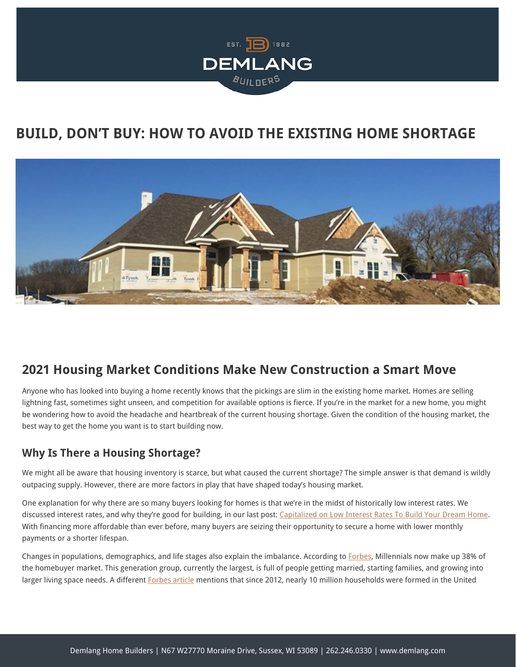

# **BUILD, DON'T BUY: HOW TO AVOID THE EXISTING HOME SHORTAGE**



### **2021 Housing Market Conditions Make New Construction a Smart Move**

Anyone who has looked into buying a home recently knows that the pickings are slim in the existing home market. Homes are selling lightning fast, sometimes sight unseen, and competition for available options is fierce. If you're in the market for a new home, you might be wondering how to avoid the headache and heartbreak of the current housing shortage. Given the condition of the housing market, the best way to get the home you want is to start building now.

### **Why Is There a Housing Shortage?**

We might all be aware that housing inventory is scarce, but what caused the current shortage? The simple answer is that demand is wildly outpacing supply. However, there are more factors in play that have shaped today's housing market.

One explanation for why there are so many buyers looking for homes is that we're in the midst of historically low interest rates. We discussed interest rates, and why they're good for building, in our last post: [Capitalized on Low Interest Rates To Build Your Dream Home](https://demlanghomebuilders.com/interest-rates-2021/). With financing more affordable than ever before, many buyers are seizing their opportunity to secure a home with lower monthly payments or a shorter lifespan.

Changes in populations, demographics, and life stages also explain the imbalance. According to [Forbes,](https://www.forbes.com/advisor/mortgages/new-home-construction-forecast/) Millennials now make up 38% of the homebuyer market. This generation group, currently the largest, is full of people getting married, starting families, and growing into larger living space needs. A different [Forbes article](https://www.forbes.com/sites/alyyale/2020/01/22/the-housing-shortage-is-badbut-heres-how-to-fix-it/) mentions that since 2012, nearly 10 million households were formed in the United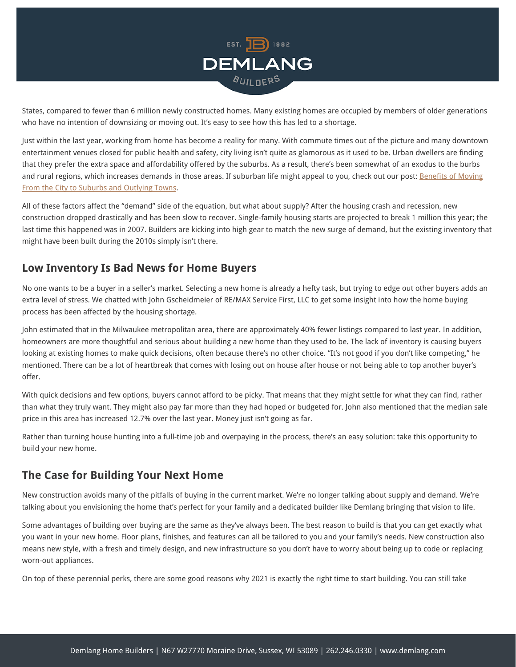

States, compared to fewer than 6 million newly constructed homes. Many existing homes are occupied by members of older generations who have no intention of downsizing or moving out. It's easy to see how this has led to a shortage.

Just within the last year, working from home has become a reality for many. With commute times out of the picture and many downtown entertainment venues closed for public health and safety, city living isn't quite as glamorous as it used to be. Urban dwellers are finding that they prefer the extra space and affordability offered by the suburbs. As a result, there's been somewhat of an exodus to the burbs and rural regions, which increases demands in those areas. If suburban life might appeal to you, check out our post: [Benefits of Moving](https://demlanghomebuilders.com/benefits-of-moving-from-the-city-to-suburbs-and-outlying-towns/) [From the City to Suburbs and Outlying Towns](https://demlanghomebuilders.com/benefits-of-moving-from-the-city-to-suburbs-and-outlying-towns/).

All of these factors affect the "demand" side of the equation, but what about supply? After the housing crash and recession, new construction dropped drastically and has been slow to recover. Single-family housing starts are projected to break 1 million this year; the last time this happened was in 2007. Builders are kicking into high gear to match the new surge of demand, but the existing inventory that might have been built during the 2010s simply isn't there.

#### **Low Inventory Is Bad News for Home Buyers**

No one wants to be a buyer in a seller's market. Selecting a new home is already a hefty task, but trying to edge out other buyers adds an extra level of stress. We chatted with John Gscheidmeier of RE/MAX Service First, LLC to get some insight into how the home buying process has been affected by the housing shortage.

John estimated that in the Milwaukee metropolitan area, there are approximately 40% fewer listings compared to last year. In addition, homeowners are more thoughtful and serious about building a new home than they used to be. The lack of inventory is causing buyers looking at existing homes to make quick decisions, often because there's no other choice. "It's not good if you don't like competing," he mentioned. There can be a lot of heartbreak that comes with losing out on house after house or not being able to top another buyer's offer.

With quick decisions and few options, buyers cannot afford to be picky. That means that they might settle for what they can find, rather than what they truly want. They might also pay far more than they had hoped or budgeted for. John also mentioned that the median sale price in this area has increased 12.7% over the last year. Money just isn't going as far.

Rather than turning house hunting into a full-time job and overpaying in the process, there's an easy solution: take this opportunity to build your new home.

#### **The Case for Building Your Next Home**

New construction avoids many of the pitfalls of buying in the current market. We're no longer talking about supply and demand. We're talking about you envisioning the home that's perfect for your family and a dedicated builder like Demlang bringing that vision to life.

Some advantages of building over buying are the same as they've always been. The best reason to build is that you can get exactly what you want in your new home. Floor plans, finishes, and features can all be tailored to you and your family's needs. New construction also means new style, with a fresh and timely design, and new infrastructure so you don't have to worry about being up to code or replacing worn-out appliances.

On top of these perennial perks, there are some good reasons why 2021 is exactly the right time to start building. You can still take